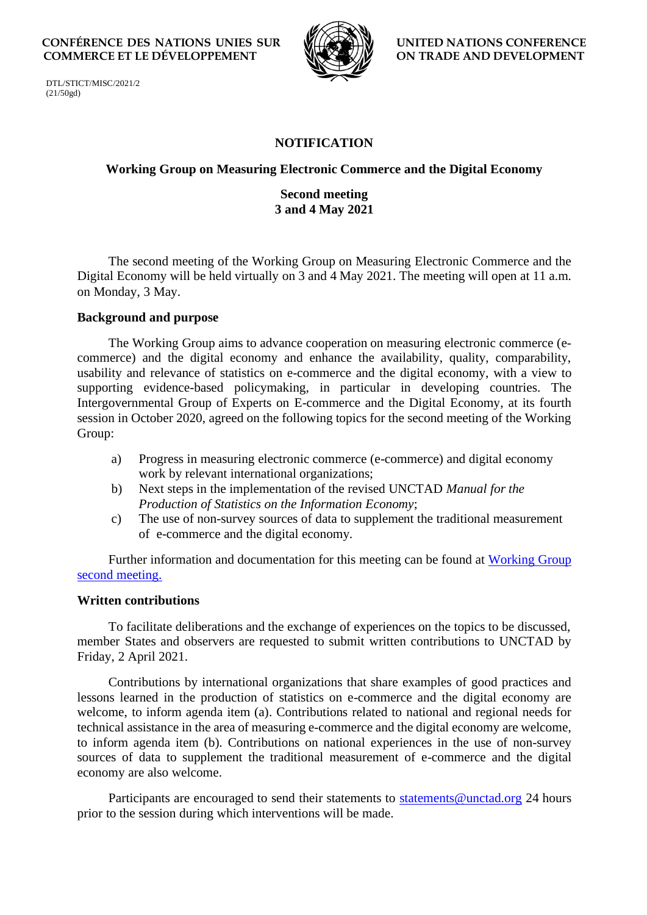**CONFÉRENCE DES NATIONS UNIES SUR LE COMMERCE ET LE DÉVELOPPEMENT**



**UNITED NATIONS CONFERENCE ON TRADE AND DEVELOPMENT**

DTL/STICT/MISC/2021/2 (21/50gd)

# **NOTIFICATION**

## **Working Group on Measuring Electronic Commerce and the Digital Economy**

## **Second meeting 3 and 4 May 2021**

The second meeting of the Working Group on Measuring Electronic Commerce and the Digital Economy will be held virtually on 3 and 4 May 2021. The meeting will open at 11 a.m. on Monday, 3 May.

### **Background and purpose**

The Working Group aims to advance cooperation on measuring electronic commerce (ecommerce) and the digital economy and enhance the availability, quality, comparability, usability and relevance of statistics on e-commerce and the digital economy, with a view to supporting evidence-based policymaking, in particular in developing countries. The Intergovernmental Group of Experts on E-commerce and the Digital Economy, at its fourth session in October 2020, agreed on the following topics for the second meeting of the Working Group:

- a) Progress in measuring electronic commerce (e-commerce) and digital economy work by relevant international organizations;
- b) Next steps in the implementation of the revised UNCTAD *Manual for the Production of Statistics on the Information Economy*;
- c) The use of non-survey sources of data to supplement the traditional measurement of e-commerce and the digital economy.

Further information and documentation for this meeting can be found at [Working Group](https://unctad.org/meeting/working-group-measuring-e-commerce-and-digital-economy-second-meeting) second [meeting.](https://unctad.org/meeting/working-group-measuring-e-commerce-and-digital-economy-second-meeting)

### **Written contributions**

To facilitate deliberations and the exchange of experiences on the topics to be discussed, member States and observers are requested to submit written contributions to UNCTAD by Friday, 2 April 2021.

Contributions by international organizations that share examples of good practices and lessons learned in the production of statistics on e-commerce and the digital economy are welcome, to inform agenda item (a). Contributions related to national and regional needs for technical assistance in the area of measuring e-commerce and the digital economy are welcome, to inform agenda item (b). Contributions on national experiences in the use of non-survey sources of data to supplement the traditional measurement of e-commerce and the digital economy are also welcome.

Participants are encouraged to send their statements to<statements@unctad.org> 24 hours prior to the session during which interventions will be made.